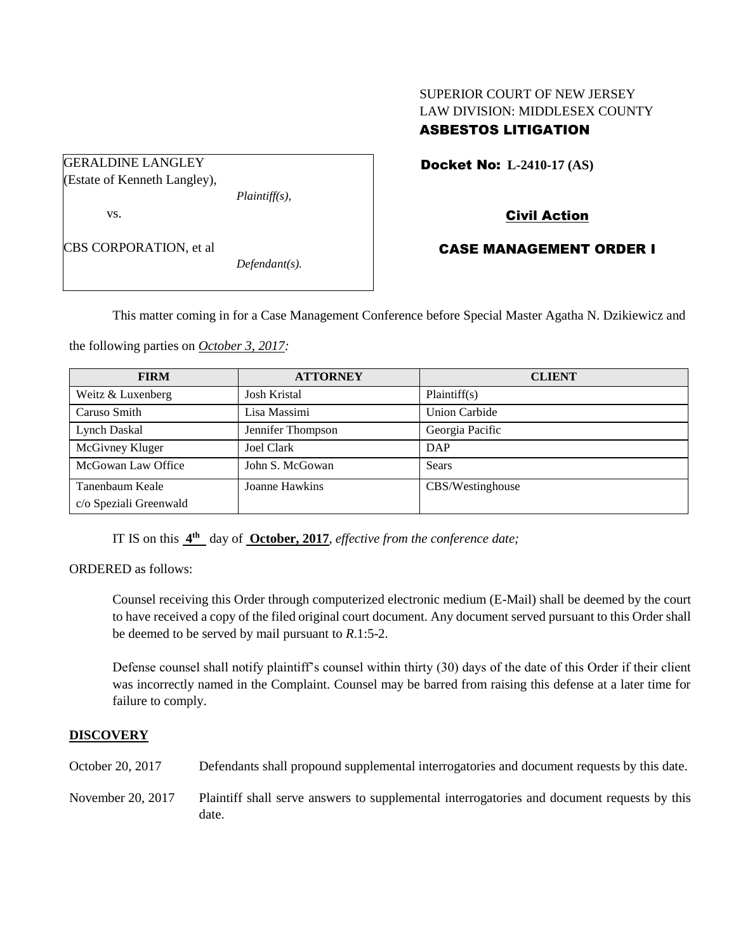## SUPERIOR COURT OF NEW JERSEY LAW DIVISION: MIDDLESEX COUNTY ASBESTOS LITIGATION

GERALDINE LANGLEY (Estate of Kenneth Langley), *Plaintiff(s),*

vs.

CBS CORPORATION, et al

*Defendant(s).*

Docket No: **L-2410-17 (AS)** 

Civil Action

# CASE MANAGEMENT ORDER I

This matter coming in for a Case Management Conference before Special Master Agatha N. Dzikiewicz and

the following parties on *October 3, 2017:*

| <b>FIRM</b>            | <b>ATTORNEY</b>     | <b>CLIENT</b>        |
|------------------------|---------------------|----------------------|
| Weitz & Luxenberg      | <b>Josh Kristal</b> | Plaintiff(s)         |
| Caruso Smith           | Lisa Massimi        | <b>Union Carbide</b> |
| Lynch Daskal           | Jennifer Thompson   | Georgia Pacific      |
| McGivney Kluger        | <b>Joel Clark</b>   | DAP                  |
| McGowan Law Office     | John S. McGowan     | Sears                |
| Tanenbaum Keale        | Joanne Hawkins      | CBS/Westinghouse     |
| c/o Speziali Greenwald |                     |                      |

IT IS on this **4 th** day of **October, 2017**, *effective from the conference date;*

ORDERED as follows:

Counsel receiving this Order through computerized electronic medium (E-Mail) shall be deemed by the court to have received a copy of the filed original court document. Any document served pursuant to this Order shall be deemed to be served by mail pursuant to *R*.1:5-2.

Defense counsel shall notify plaintiff's counsel within thirty (30) days of the date of this Order if their client was incorrectly named in the Complaint. Counsel may be barred from raising this defense at a later time for failure to comply.

## **DISCOVERY**

October 20, 2017 Defendants shall propound supplemental interrogatories and document requests by this date.

November 20, 2017 Plaintiff shall serve answers to supplemental interrogatories and document requests by this date.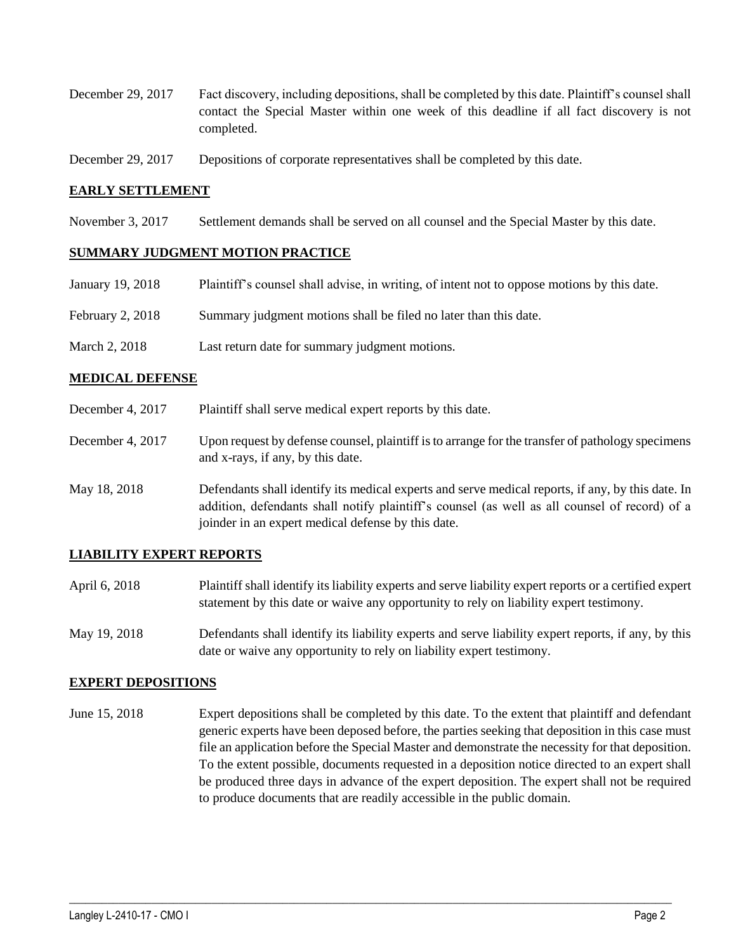- December 29, 2017 Fact discovery, including depositions, shall be completed by this date. Plaintiff's counsel shall contact the Special Master within one week of this deadline if all fact discovery is not completed.
- December 29, 2017 Depositions of corporate representatives shall be completed by this date.

#### **EARLY SETTLEMENT**

November 3, 2017 Settlement demands shall be served on all counsel and the Special Master by this date.

#### **SUMMARY JUDGMENT MOTION PRACTICE**

| January 19, 2018 | Plaintiff's counsel shall advise, in writing, of intent not to oppose motions by this date. |
|------------------|---------------------------------------------------------------------------------------------|
| February 2, 2018 | Summary judgment motions shall be filed no later than this date.                            |
| March 2, 2018    | Last return date for summary judgment motions.                                              |

#### **MEDICAL DEFENSE**

- December 4, 2017 Plaintiff shall serve medical expert reports by this date.
- December 4, 2017 Upon request by defense counsel, plaintiff is to arrange for the transfer of pathology specimens and x-rays, if any, by this date.
- May 18, 2018 Defendants shall identify its medical experts and serve medical reports, if any, by this date. In addition, defendants shall notify plaintiff's counsel (as well as all counsel of record) of a joinder in an expert medical defense by this date.

#### **LIABILITY EXPERT REPORTS**

- April 6, 2018 Plaintiff shall identify its liability experts and serve liability expert reports or a certified expert statement by this date or waive any opportunity to rely on liability expert testimony.
- May 19, 2018 Defendants shall identify its liability experts and serve liability expert reports, if any, by this date or waive any opportunity to rely on liability expert testimony.

#### **EXPERT DEPOSITIONS**

June 15, 2018 Expert depositions shall be completed by this date. To the extent that plaintiff and defendant generic experts have been deposed before, the parties seeking that deposition in this case must file an application before the Special Master and demonstrate the necessity for that deposition. To the extent possible, documents requested in a deposition notice directed to an expert shall be produced three days in advance of the expert deposition. The expert shall not be required to produce documents that are readily accessible in the public domain.

 $\_$  ,  $\_$  ,  $\_$  ,  $\_$  ,  $\_$  ,  $\_$  ,  $\_$  ,  $\_$  ,  $\_$  ,  $\_$  ,  $\_$  ,  $\_$  ,  $\_$  ,  $\_$  ,  $\_$  ,  $\_$  ,  $\_$  ,  $\_$  ,  $\_$  ,  $\_$  ,  $\_$  ,  $\_$  ,  $\_$  ,  $\_$  ,  $\_$  ,  $\_$  ,  $\_$  ,  $\_$  ,  $\_$  ,  $\_$  ,  $\_$  ,  $\_$  ,  $\_$  ,  $\_$  ,  $\_$  ,  $\_$  ,  $\_$  ,